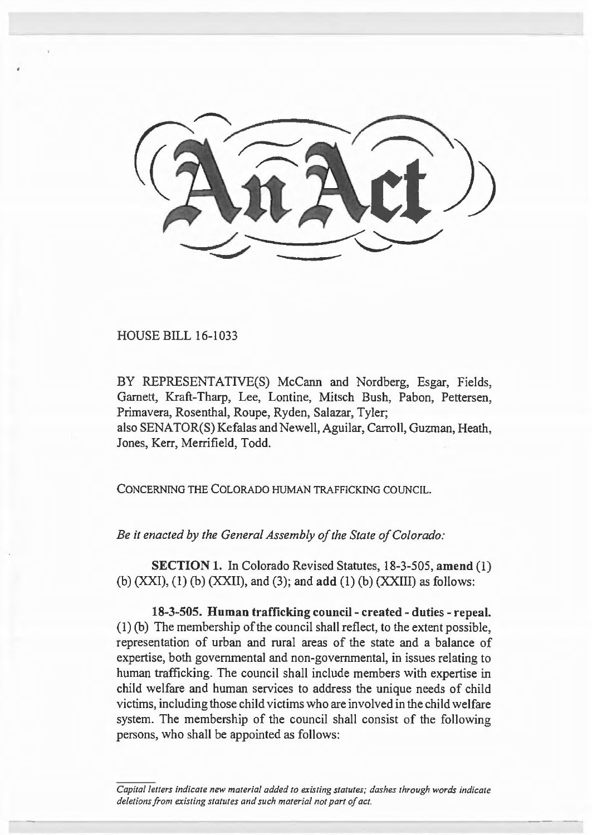

HOUSE BILL 16-1033

BY REPRESENTATIVE(S) McCann and Nordberg, Esgar, Fields, Garnett, Kraft-Tharp, Lee, Lontine, Mitsch Bush, Pabon, Pettersen, Primavera, Rosenthal, Roupe, Ryden, Salazar, Tyler; also SENATOR(S) Kefalas and Newell, Aguilar, Carroll, Guzman, Heath, Jones, Kerr, Merrifield, Todd.

CONCERNING THE COLORADO HUMAN TRAFFICKING COUNCIL.

*Be it enacted by the General Assembly of the State of Colorado:* 

SECTION 1. In Colorado Revised Statutes, 18-3-505, amend (I) (b)  $(XXI)$ ,  $(1)$   $(b)$   $(XXII)$ , and  $(3)$ ; and  $add$   $(1)$   $(b)$   $(XXIII)$  as follows:

18-3-505. Human trafficking council - created - duties - repeal. (I) (b) The membership of the council shall reflect, to the extent possible, representation of urban and rural areas of the state and a balance of expertise, both governmental and non-governmental, in issues relating to human trafficking. The council shall include members with expertise in child welfare and human services to address the unique needs of child victims, including those child victims who are involved in the child welfare system. The membership of the council shall consist of the following persons, who shall be appointed as follows:

*Capital letters indicate new material added to existing statutes; dashes through words indicate deletions from existing statutes and such material not part of act.*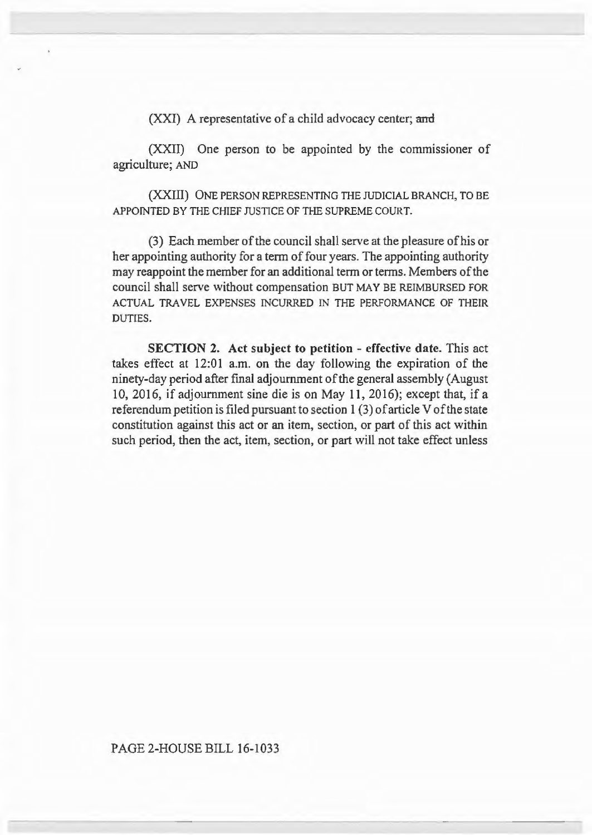$(XXI)$  A representative of a child advocacy center; and

(XXII) One person to be appointed by the commissioner of agriculture; AND

(XXIII) ONE PERSON REPRESENTING THE JUDICIAL BRANCH, TO BE APPOINTED BY THE CHIEF JUSTICE OF THE SUPREME COURT.

(3) Each member of the council shall serve at the pleasure of his or her appointing authority for a term of four years. The appointing authority may reappoint the member for an additional term or terms. Members of the council shall serve without compensation BUT MAY BE REIMBURSED FOR ACTUAL TRAVEL EXPENSES INCURRED IN THE PERFORMANCE OF THEIR DUTIES.

SECTION 2. Act subject to petition - effective date. This act takes effect at 12:01 a.m. on the day following the expiration of the ninety-day period after final adjournment of the general assembly (August 10, 2016, if adjournment sine die is on May 11, 2016); except that, if a referendum petition is filed pursuant to section 1 (3) of article V of the state constitution against this act or an item, section, or part of this act within such period, then the act, item, section, or part will not take effect unless